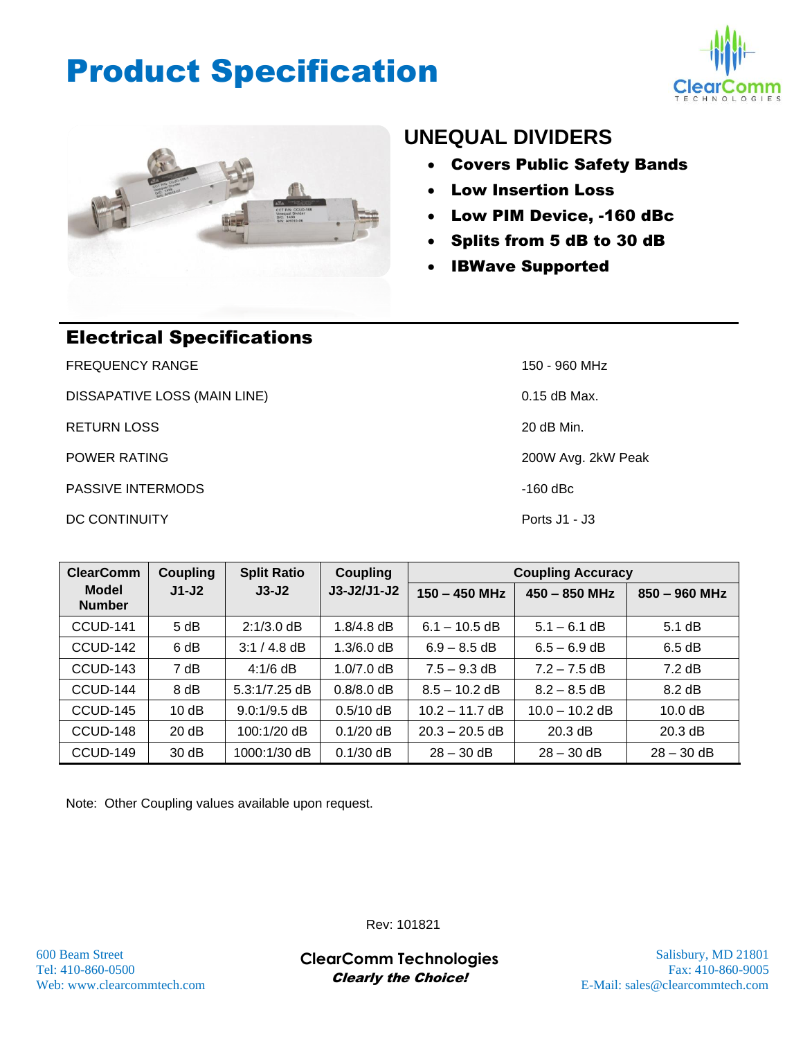## Product Specification





### **UNEQUAL DIVIDERS**

- Covers Public Safety Bands
- Low Insertion Loss
- Low PIM Device, -160 dBc
- Splits from 5 dB to 30 dB
- IBWave Supported

| <b>Electrical Specifications</b> |                    |  |  |  |  |
|----------------------------------|--------------------|--|--|--|--|
| <b>FREQUENCY RANGE</b>           | 150 - 960 MHz      |  |  |  |  |
| DISSAPATIVE LOSS (MAIN LINE)     | $0.15$ dB Max.     |  |  |  |  |
| <b>RETURN LOSS</b>               | 20 dB Min.         |  |  |  |  |
| <b>POWER RATING</b>              | 200W Avg. 2kW Peak |  |  |  |  |
| <b>PASSIVE INTERMODS</b>         | -160 dBc           |  |  |  |  |
| DC CONTINUITY                    | Ports $J1 - J3$    |  |  |  |  |

| <b>ClearComm</b>              | Coupling | <b>Split Ratio</b> | <b>Coupling</b> | <b>Coupling Accuracy</b> |                  |                  |
|-------------------------------|----------|--------------------|-----------------|--------------------------|------------------|------------------|
| <b>Model</b><br><b>Number</b> | $J1-J2$  | $J3-J2$            | $J3-J2/J1-J2$   | $150 - 450$ MHz          | $450 - 850$ MHz  | $850 - 960$ MHz  |
| CCUD-141                      | 5 dB     | $2:1/3.0$ dB       | $1.8/4.8$ dB    | $6.1 - 10.5$ dB          | $5.1 - 6.1$ dB   | $5.1 \text{ dB}$ |
| CCUD-142                      | 6 dB     | $3:1/4.8$ dB       | $1.3/6.0$ dB    | $6.9 - 8.5$ dB           | $6.5 - 6.9$ dB   | 6.5 dB           |
| CCUD-143                      | 7 dB     | $4:1/6$ dB         | $1.0/7.0$ dB    | $7.5 - 9.3$ dB           | $7.2 - 7.5$ dB   | $7.2 \text{ dB}$ |
| CCUD-144                      | 8 dB     | $5.3:1/7.25$ dB    | $0.8/8.0$ dB    | $8.5 - 10.2$ dB          | $8.2 - 8.5$ dB   | $8.2 \text{ dB}$ |
| CCUD-145                      | 10dB     | $9.0:1/9.5$ dB     | $0.5/10$ dB     | $10.2 - 11.7$ dB         | $10.0 - 10.2$ dB | 10.0 dB          |
| CCUD-148                      | 20 dB    | 100:1/20 dB        | $0.1/20$ dB     | $20.3 - 20.5$ dB         | $20.3$ dB        | 20.3 dB          |
| CCUD-149                      | 30 dB    | 1000:1/30 dB       | $0.1/30$ dB     | $28 - 30$ dB             | $28 - 30$ dB     | $28 - 30$ dB     |

Note: Other Coupling values available upon request.

Rev: 101821

600 Beam Street Salisbury, MD 21801 **ClearComm Technologies** Tel: 410-860-0500 Fax: 410-860-9005 Clearly the Choice!